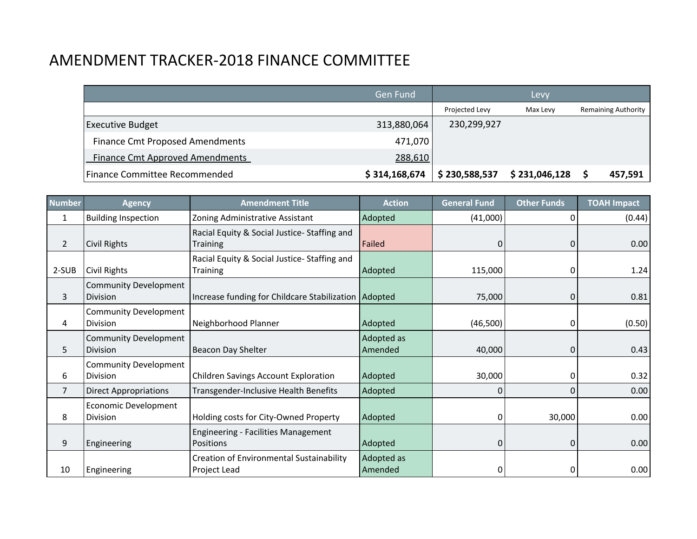# AMENDMENT TRACKER-2018 FINANCE COMMITTEE

|                                        | <b>Gen Fund</b> |                | Levy          |                            |
|----------------------------------------|-----------------|----------------|---------------|----------------------------|
|                                        |                 | Projected Levy | Max Levy      | <b>Remaining Authority</b> |
| <b>Executive Budget</b>                | 313,880,064     | 230,299,927    |               |                            |
| <b>Finance Cmt Proposed Amendments</b> | 471,070         |                |               |                            |
| <b>Finance Cmt Approved Amendments</b> | 288,610         |                |               |                            |
| Finance Committee Recommended          | \$314,168,674   | \$230,588,537  | \$231,046,128 | 457,591                    |

| <b>Number</b>  | <b>Agency</b>                                   | <b>Amendment Title</b>                                          | <b>Action</b>         | <b>General Fund</b> | <b>Other Funds</b> | <b>TOAH Impact</b> |
|----------------|-------------------------------------------------|-----------------------------------------------------------------|-----------------------|---------------------|--------------------|--------------------|
| 1              | <b>Building Inspection</b>                      | Zoning Administrative Assistant                                 | Adopted               | (41,000)            |                    | (0.44)             |
| $\overline{2}$ | Civil Rights                                    | Racial Equity & Social Justice-Staffing and<br><b>Training</b>  | Failed                | 0                   |                    | 0.00               |
| 2-SUB          | Civil Rights                                    | Racial Equity & Social Justice-Staffing and<br><b>Training</b>  | Adopted               | 115,000             |                    | 1.24               |
| 3              | <b>Community Development</b><br><b>Division</b> | Increase funding for Childcare Stabilization   Adopted          |                       | 75,000              |                    | 0.81               |
| 4              | <b>Community Development</b><br><b>Division</b> | Neighborhood Planner                                            | Adopted               | (46,500)            |                    | (0.50)             |
| 5              | <b>Community Development</b><br><b>Division</b> | Beacon Day Shelter                                              | Adopted as<br>Amended | 40,000              |                    | 0.43               |
| 6              | <b>Community Development</b><br><b>Division</b> | <b>Children Savings Account Exploration</b>                     | Adopted               | 30,000              |                    | 0.32               |
| $\overline{7}$ | <b>Direct Appropriations</b>                    | Transgender-Inclusive Health Benefits                           | Adopted               | 0                   |                    | 0.00               |
| 8              | Economic Development<br><b>Division</b>         | Holding costs for City-Owned Property                           | Adopted               | 0                   | 30,000             | 0.00               |
| 9              | Engineering                                     | <b>Engineering - Facilities Management</b><br>Positions         | Adopted               | $\mathbf{0}$        | 0                  | 0.00               |
| 10             | Engineering                                     | <b>Creation of Environmental Sustainability</b><br>Project Lead | Adopted as<br>Amended | 0                   |                    | 0.00               |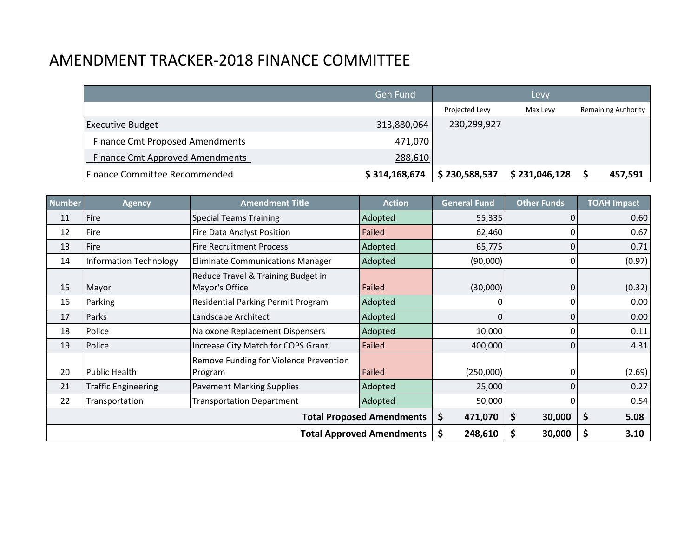# AMENDMENT TRACKER-2018 FINANCE COMMITTEE

|                                        | <b>Gen Fund</b> |                | Levy          |                            |
|----------------------------------------|-----------------|----------------|---------------|----------------------------|
|                                        |                 | Projected Levy | Max Levy      | <b>Remaining Authority</b> |
| <b>Executive Budget</b>                | 313,880,064     | 230,299,927    |               |                            |
| <b>Finance Cmt Proposed Amendments</b> | 471,070         |                |               |                            |
| <b>Finance Cmt Approved Amendments</b> | 288,610         |                |               |                            |
| Finance Committee Recommended          | \$314,168,674   | \$230,588,537  | \$231,046,128 | 457,591                    |

| <b>Number</b> | <b>Agency</b>                 | <b>Amendment Title</b>                               | <b>Action</b>                    | <b>General Fund</b> | <b>Other Funds</b> | <b>TOAH Impact</b> |
|---------------|-------------------------------|------------------------------------------------------|----------------------------------|---------------------|--------------------|--------------------|
| 11            | Fire                          | <b>Special Teams Training</b>                        | Adopted                          | 55,335              |                    | 0.60               |
| 12            | Fire                          | Fire Data Analyst Position                           | Failed                           | 62,460              |                    | 0.67               |
| 13            | Fire                          | <b>Fire Recruitment Process</b>                      | Adopted                          | 65,775              |                    | 0.71               |
| 14            | <b>Information Technology</b> | <b>Eliminate Communications Manager</b>              | Adopted                          | (90,000)            | 0                  | (0.97)             |
| 15            | Mayor                         | Reduce Travel & Training Budget in<br>Mayor's Office | Failed                           | (30,000)            | 0                  | (0.32)             |
| 16            | Parking                       | Residential Parking Permit Program                   | Adopted                          | 0                   | 0                  | 0.00               |
| 17            | Parks                         | Landscape Architect                                  | Adopted                          | 0                   | 0                  | 0.00               |
| 18            | Police                        | Naloxone Replacement Dispensers                      | Adopted                          | 10,000              |                    | 0.11               |
| 19            | Police                        | Increase City Match for COPS Grant                   | Failed                           | 400,000             | 0                  | 4.31               |
| 20            | <b>Public Health</b>          | Remove Funding for Violence Prevention<br>Program    | Failed                           | (250,000)           |                    | (2.69)             |
| 21            | <b>Traffic Engineering</b>    | <b>Pavement Marking Supplies</b>                     | Adopted                          | 25,000              | 0                  | 0.27               |
| 22            | Transportation                | <b>Transportation Department</b>                     | Adopted                          | 50,000              | 0                  | 0.54               |
|               |                               |                                                      | <b>Total Proposed Amendments</b> | \$<br>471,070       | \$<br>30,000       | \$<br>5.08         |
|               |                               |                                                      | <b>Total Approved Amendments</b> | \$<br>248,610       | \$<br>30,000       | 3.10               |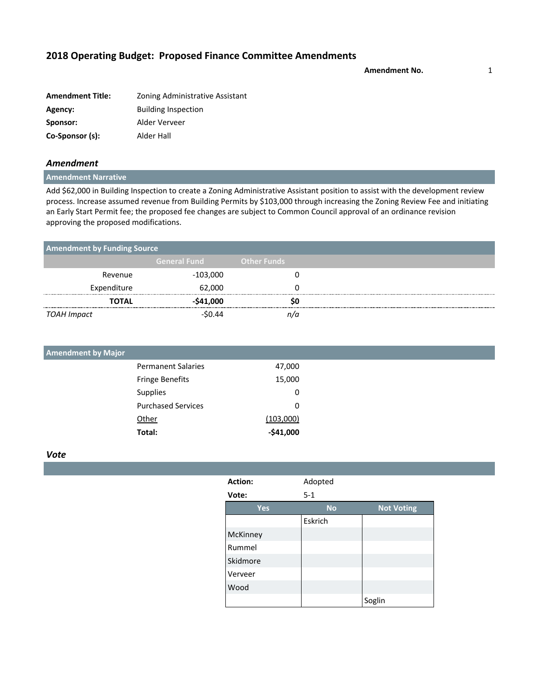**Amendment No.** 1

| <b>Amendment Title:</b> | Zoning Administrative Assistant |
|-------------------------|---------------------------------|
| Agency:                 | <b>Building Inspection</b>      |
| Sponsor:                | Alder Verveer                   |
| Co-Sponsor (s):         | Alder Hall                      |

#### *Amendment*

### **Amendment Narrative**

Add \$62,000 in Building Inspection to create a Zoning Administrative Assistant position to assist with the development review process. Increase assumed revenue from Building Permits by \$103,000 through increasing the Zoning Review Fee and initiating an Early Start Permit fee; the proposed fee changes are subject to Common Council approval of an ordinance revision approving the proposed modifications.

| <b>Amendment by Funding Source</b> |                     |                    |  |
|------------------------------------|---------------------|--------------------|--|
|                                    | <b>General Fund</b> | <b>Other Funds</b> |  |
| Revenue                            | $-103,000$          |                    |  |
| Expenditure                        | 62,000              |                    |  |
| <b>TOTAL</b>                       | $-541,000$          | sc                 |  |
| TOAH Impact                        | 5044                |                    |  |

| <b>Amendment by Major</b> |                           |            |
|---------------------------|---------------------------|------------|
|                           | <b>Permanent Salaries</b> | 47,000     |
|                           | <b>Fringe Benefits</b>    | 15,000     |
|                           | Supplies                  | 0          |
|                           | <b>Purchased Services</b> | 0          |
|                           | Other                     | (103,000)  |
|                           | Total:                    | $-541,000$ |

| Action:  |     | Adopted   |                   |
|----------|-----|-----------|-------------------|
| Vote:    |     | $5 - 1$   |                   |
|          | Yes | <b>No</b> | <b>Not Voting</b> |
|          |     | Eskrich   |                   |
| McKinney |     |           |                   |
| Rummel   |     |           |                   |
| Skidmore |     |           |                   |
| Verveer  |     |           |                   |
| Wood     |     |           |                   |
|          |     |           | Soglin            |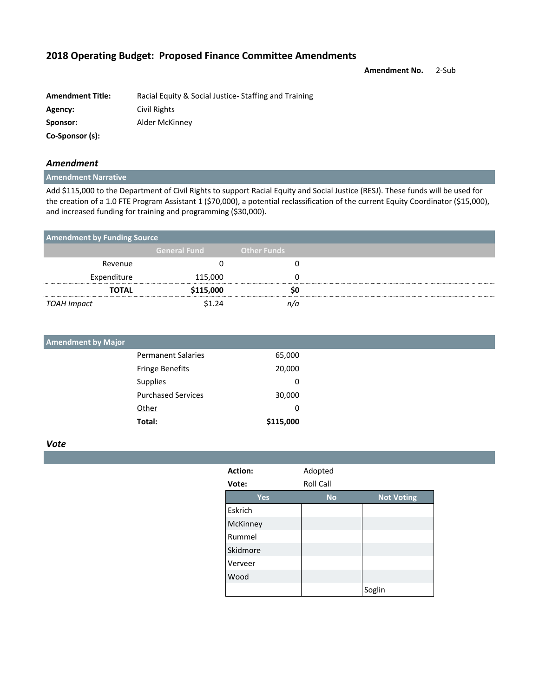**Amendment No.** 2-Sub

| <b>Amendment Title:</b> | Racial Equity & Social Justice-Staffing and Training |
|-------------------------|------------------------------------------------------|
| Agency:                 | Civil Rights                                         |
| Sponsor:                | Alder McKinney                                       |
| Co-Sponsor (s):         |                                                      |

#### *Amendment*

### **Amendment Narrative**

Add \$115,000 to the Department of Civil Rights to support Racial Equity and Social Justice (RESJ). These funds will be used for the creation of a 1.0 FTE Program Assistant 1 (\$70,000), a potential reclassification of the current Equity Coordinator (\$15,000), and increased funding for training and programming (\$30,000).

| <b>Amendment by Funding Source</b> |                     |                    |  |  |  |  |
|------------------------------------|---------------------|--------------------|--|--|--|--|
|                                    | <b>General Fund</b> | <b>Other Funds</b> |  |  |  |  |
| Revenue                            |                     |                    |  |  |  |  |
| Expenditure                        | 115,000             |                    |  |  |  |  |
| <b>TOTAL</b>                       | \$115,000           |                    |  |  |  |  |
| TOAH Impact                        | \$1 24              |                    |  |  |  |  |

| <b>Amendment by Major</b> |                |
|---------------------------|----------------|
| <b>Permanent Salaries</b> | 65,000         |
| <b>Fringe Benefits</b>    | 20,000         |
| Supplies                  | 0              |
| <b>Purchased Services</b> | 30,000         |
| Other                     | $\overline{0}$ |
| Total:                    | \$115,000      |

| Action:    | Adopted   |                   |
|------------|-----------|-------------------|
| Vote:      | Roll Call |                   |
| <b>Yes</b> | <b>No</b> | <b>Not Voting</b> |
| Eskrich    |           |                   |
| McKinney   |           |                   |
| Rummel     |           |                   |
| Skidmore   |           |                   |
| Verveer    |           |                   |
| Wood       |           |                   |
|            |           | Soglin            |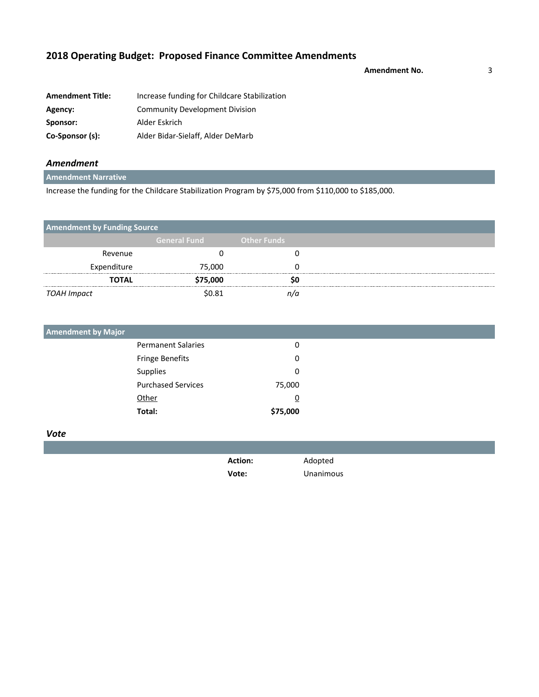**Amendment No.** 3

| <b>Amendment Title:</b> | Increase funding for Childcare Stabilization |
|-------------------------|----------------------------------------------|
| Agency:                 | <b>Community Development Division</b>        |
| Sponsor:                | Alder Eskrich                                |
| Co-Sponsor (s):         | Alder Bidar-Sielaff, Alder DeMarb            |

### *Amendment*

### **Amendment Narrative**

Increase the funding for the Childcare Stabilization Program by \$75,000 from \$110,000 to \$185,000.

| <b>Amendment by Funding Source</b> |                     |                    |
|------------------------------------|---------------------|--------------------|
|                                    | <b>General Fund</b> | <b>Other Funds</b> |
| Revenue                            |                     |                    |
| Expenditure                        | 75,000              |                    |
| <b>TOTAL</b>                       | \$75,000            | so                 |
| TOAH Impact                        | \$0.81              |                    |

| <b>Amendment by Major</b> |                           |          |
|---------------------------|---------------------------|----------|
|                           | <b>Permanent Salaries</b> | 0        |
|                           | Fringe Benefits           | 0        |
|                           | Supplies                  | 0        |
|                           | <b>Purchased Services</b> | 75,000   |
|                           | Other                     | <u>0</u> |
|                           | Total:                    | \$75,000 |

| <b>Action:</b> | Adopted   |
|----------------|-----------|
| Vote:          | Unanimous |
|                |           |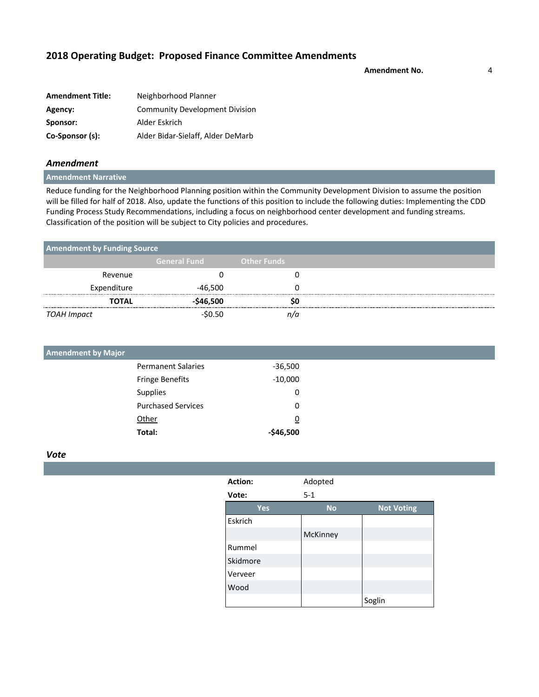**Amendment No.** 4

| <b>Amendment Title:</b> | Neighborhood Planner                  |
|-------------------------|---------------------------------------|
| Agency:                 | <b>Community Development Division</b> |
| Sponsor:                | Alder Eskrich                         |
| Co-Sponsor (s):         | Alder Bidar-Sielaff, Alder DeMarb     |

### *Amendment*

#### **Amendment Narrative**

Reduce funding for the Neighborhood Planning position within the Community Development Division to assume the position will be filled for half of 2018. Also, update the functions of this position to include the following duties: Implementing the CDD Funding Process Study Recommendations, including a focus on neighborhood center development and funding streams. Classification of the position will be subject to City policies and procedures.

| <b>Amendment by Funding Source</b> |                     |                    |
|------------------------------------|---------------------|--------------------|
|                                    | <b>General Fund</b> | <b>Other Funds</b> |
| Revenue                            |                     |                    |
| Expenditure                        | -46,500             |                    |
| <b>TOTAL</b>                       | $-$ \$46,500        |                    |
| TOAH Impact                        | -\$0.50             |                    |

| <b>Amendment by Major</b> |                |
|---------------------------|----------------|
| <b>Permanent Salaries</b> | $-36,500$      |
| <b>Fringe Benefits</b>    | $-10,000$      |
| Supplies                  | 0              |
| <b>Purchased Services</b> | 0              |
| Other                     | $\overline{0}$ |
| Total:                    | $-$46,500$     |

| Action:  | Adopted   |                   |
|----------|-----------|-------------------|
| Vote:    | $5 - 1$   |                   |
| Yes      | <b>No</b> | <b>Not Voting</b> |
| Eskrich  |           |                   |
|          | McKinney  |                   |
| Rummel   |           |                   |
| Skidmore |           |                   |
| Verveer  |           |                   |
| Wood     |           |                   |
|          |           | Soglin            |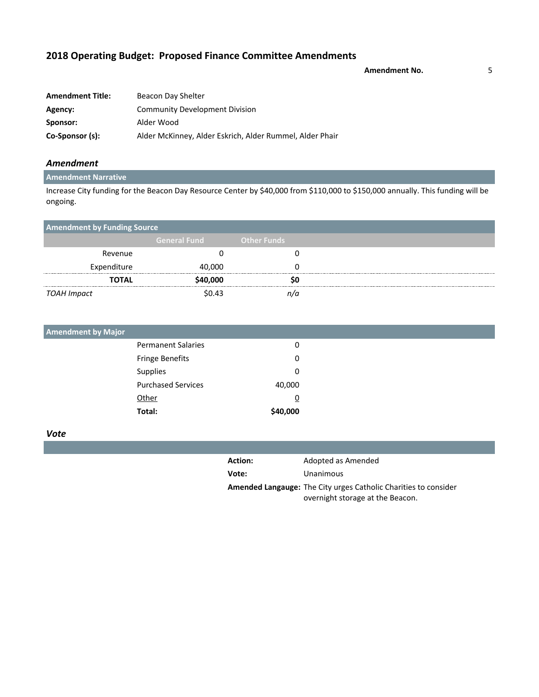**Amendment No.** 5

| <b>Amendment Title:</b> | Beacon Day Shelter                                       |  |
|-------------------------|----------------------------------------------------------|--|
| Agency:                 | <b>Community Development Division</b>                    |  |
| Sponsor:                | Alder Wood                                               |  |
| Co-Sponsor (s):         | Alder McKinney, Alder Eskrich, Alder Rummel, Alder Phair |  |

### *Amendment*

### **Amendment Narrative**

Increase City funding for the Beacon Day Resource Center by \$40,000 from \$110,000 to \$150,000 annually. This funding will be ongoing.

| <b>Amendment by Funding Source</b> |                     |                    |  |
|------------------------------------|---------------------|--------------------|--|
|                                    | <b>General Fund</b> | <b>Other Funds</b> |  |
| Revenue                            |                     |                    |  |
| Expenditure                        | 40,000              |                    |  |
| <b>TOTAL</b>                       | \$40,000            |                    |  |
| TOAH Impact                        | \$0.43              |                    |  |

| <b>Amendment by Major</b> |                           |          |
|---------------------------|---------------------------|----------|
|                           | <b>Permanent Salaries</b> | 0        |
|                           | Fringe Benefits           | 0        |
|                           | Supplies                  | 0        |
|                           | <b>Purchased Services</b> | 40,000   |
|                           | Other                     | <u>0</u> |
|                           | Total:                    | \$40,000 |

| <b>Action:</b> | Adopted as Amended                                                     |
|----------------|------------------------------------------------------------------------|
| Vote:          | Unanimous                                                              |
|                | <b>Amended Langauge:</b> The City urges Catholic Charities to consider |
|                | overnight storage at the Beacon.                                       |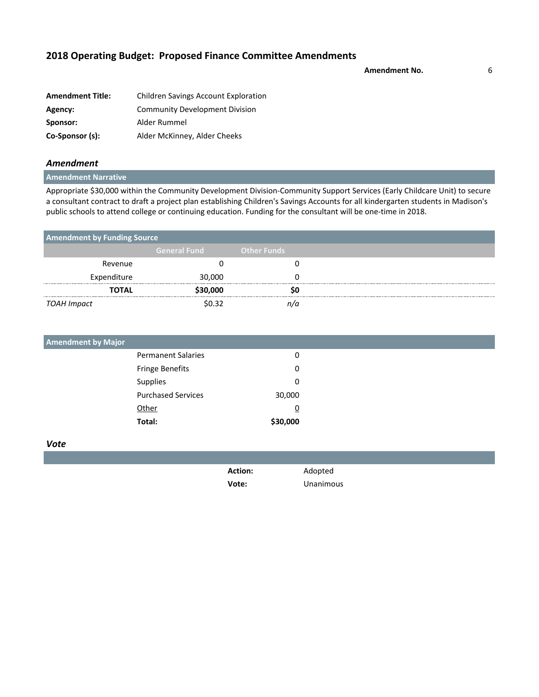**Amendment No.** 6

| <b>Amendment Title:</b> | <b>Children Savings Account Exploration</b> |
|-------------------------|---------------------------------------------|
| Agency:                 | <b>Community Development Division</b>       |
| Sponsor:                | Alder Rummel                                |
| Co-Sponsor (s):         | Alder McKinney, Alder Cheeks                |

### *Amendment*

**Amendment Narrative**

Appropriate \$30,000 within the Community Development Division-Community Support Services (Early Childcare Unit) to secure a consultant contract to draft a project plan establishing Children's Savings Accounts for all kindergarten students in Madison's public schools to attend college or continuing education. Funding for the consultant will be one-time in 2018.

| <b>Amendment by Funding Source</b> |                     |                    |
|------------------------------------|---------------------|--------------------|
|                                    | <b>General Fund</b> | <b>Other Funds</b> |
| Revenue                            |                     |                    |
| Expenditure                        | 30,000              |                    |
| TOTAL                              | \$30,000            |                    |
| TOAH Impact                        | \$በ 32              |                    |

| <b>Amendment by Major</b> |                           |          |
|---------------------------|---------------------------|----------|
|                           | <b>Permanent Salaries</b> | 0        |
|                           | Fringe Benefits           | 0        |
|                           | Supplies                  | 0        |
|                           | <b>Purchased Services</b> | 30,000   |
|                           | Other                     | <u>0</u> |
|                           | Total:                    | \$30,000 |

*Vote*

**Action:** Adopted

**Vote:** Unanimous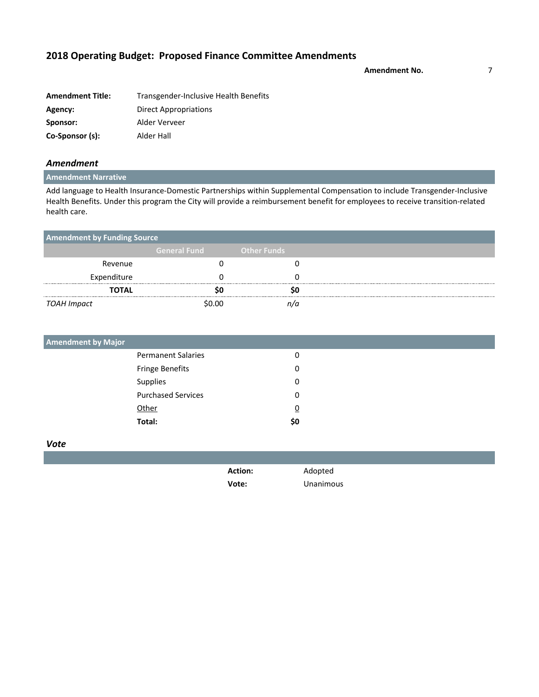**Amendment No.** 7

| <b>Amendment Title:</b> | Transgender-Inclusive Health Benefits |
|-------------------------|---------------------------------------|
| Agency:                 | Direct Appropriations                 |
| Sponsor:                | Alder Verveer                         |
| Co-Sponsor (s):         | Alder Hall                            |

### *Amendment*

### **Amendment Narrative**

Add language to Health Insurance-Domestic Partnerships within Supplemental Compensation to include Transgender-Inclusive Health Benefits. Under this program the City will provide a reimbursement benefit for employees to receive transition-related health care.

| <b>Amendment by Funding Source</b> |                     |             |
|------------------------------------|---------------------|-------------|
|                                    | <b>General Fund</b> | Other Funds |
| Revenue                            |                     |             |
| Expenditure                        |                     |             |
| <b>TOTAL</b>                       |                     |             |
| TOAH Impact                        | \$0.00              |             |

| <b>Amendment by Major</b> |                |  |
|---------------------------|----------------|--|
| <b>Permanent Salaries</b> | 0              |  |
| Fringe Benefits           | 0              |  |
| Supplies                  | 0              |  |
| <b>Purchased Services</b> | 0              |  |
| Other                     | $\overline{0}$ |  |
| Total:                    | \$0            |  |

*Vote*

**Action:** Adopted

**Vote:** Unanimous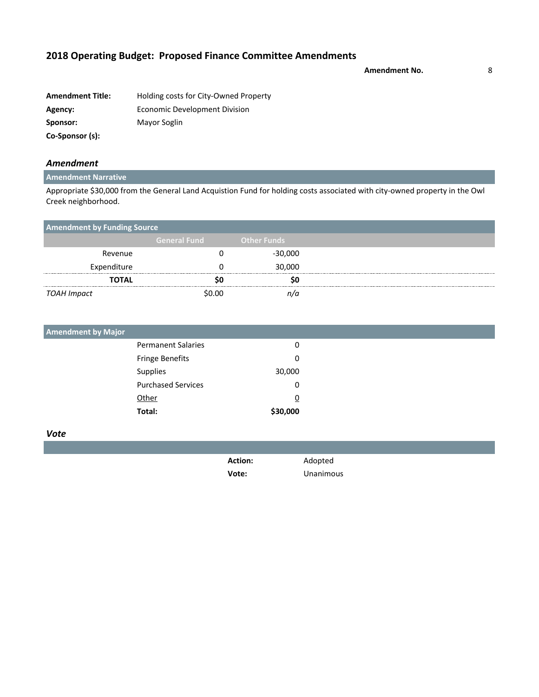**Amendment No.** 8

| <b>Amendment Title:</b> | Holding costs for City-Owned Property |
|-------------------------|---------------------------------------|
| Agency:                 | Economic Development Division         |
| Sponsor:                | Mayor Soglin                          |
| Co-Sponsor (s):         |                                       |

### *Amendment*

### **Amendment Narrative**

Appropriate \$30,000 from the General Land Acquistion Fund for holding costs associated with city-owned property in the Owl Creek neighborhood.

| <b>Amendment by Funding Source</b> |                     |                    |  |
|------------------------------------|---------------------|--------------------|--|
|                                    | <b>General Fund</b> | <b>Other Funds</b> |  |
| Revenue                            |                     | $-30,000$          |  |
| Expenditure                        |                     | 30,000             |  |
| <b>TOTAL</b>                       |                     |                    |  |
| TOAH Impact                        | \$0.00              |                    |  |

| <b>Amendment by Major</b> |          |
|---------------------------|----------|
| <b>Permanent Salaries</b> | 0        |
| Fringe Benefits           | 0        |
| Supplies                  | 30,000   |
| <b>Purchased Services</b> | 0        |
| Other                     | <u>0</u> |
| Total:                    | \$30,000 |

#### *Vote*

| <b>Action:</b> | Adopted   |
|----------------|-----------|
| Vote:          | Unanimous |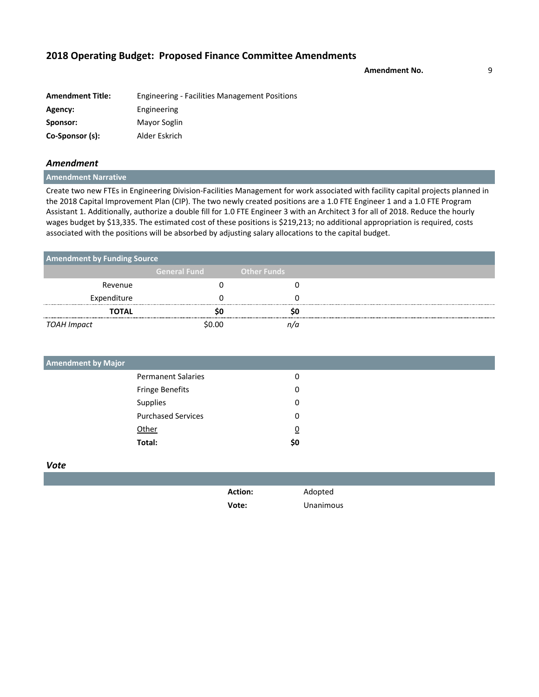**Amendment No.** 9

| <b>Amendment Title:</b> | <b>Engineering - Facilities Management Positions</b> |
|-------------------------|------------------------------------------------------|
| Agency:                 | Engineering                                          |
| Sponsor:                | Mayor Soglin                                         |
| Co-Sponsor (s):         | Alder Eskrich                                        |

### *Amendment*

**Amendment Narrative**

Create two new FTEs in Engineering Division-Facilities Management for work associated with facility capital projects planned in the 2018 Capital Improvement Plan (CIP). The two newly created positions are a 1.0 FTE Engineer 1 and a 1.0 FTE Program Assistant 1. Additionally, authorize a double fill for 1.0 FTE Engineer 3 with an Architect 3 for all of 2018. Reduce the hourly wages budget by \$13,335. The estimated cost of these positions is \$219,213; no additional appropriation is required, costs associated with the positions will be absorbed by adjusting salary allocations to the capital budget.

| <b>Amendment by Funding Source</b> |                     |                    |  |
|------------------------------------|---------------------|--------------------|--|
|                                    | <b>General Fund</b> | <b>Other Funds</b> |  |
| Revenue                            |                     |                    |  |
| Expenditure                        |                     |                    |  |
| <b>TOTAL</b>                       |                     |                    |  |
| TOAH Impact                        | \$N NN              |                    |  |

| <b>Amendment by Major</b> |     |  |
|---------------------------|-----|--|
| <b>Permanent Salaries</b> | 0   |  |
| Fringe Benefits           | 0   |  |
| Supplies                  | 0   |  |
| <b>Purchased Services</b> | 0   |  |
| Other                     | ₫   |  |
| Total:                    | \$0 |  |
|                           |     |  |

| <b>Action:</b> | Adopted   |
|----------------|-----------|
| Vote:          | Unanimous |
|                |           |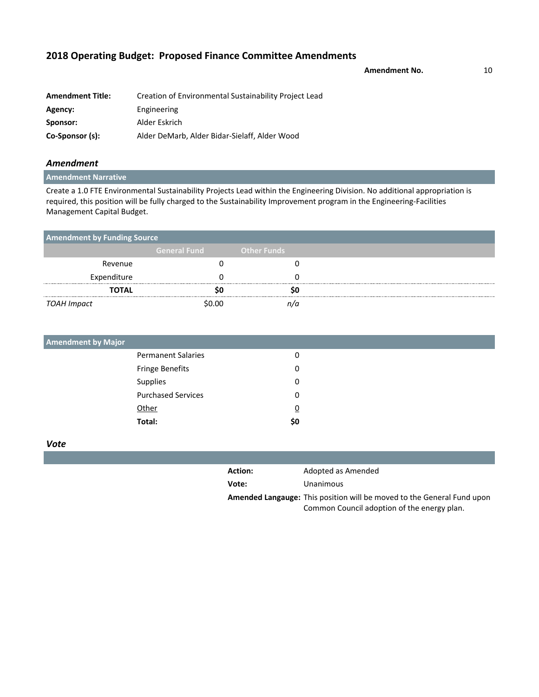Amendment No. **10** 

| <b>Amendment Title:</b> | Creation of Environmental Sustainability Project Lead |
|-------------------------|-------------------------------------------------------|
| Agency:                 | Engineering                                           |
| Sponsor:                | Alder Eskrich                                         |
| Co-Sponsor (s):         | Alder DeMarb, Alder Bidar-Sielaff, Alder Wood         |

### *Amendment*

**Amendment Narrative**

Create a 1.0 FTE Environmental Sustainability Projects Lead within the Engineering Division. No additional appropriation is required, this position will be fully charged to the Sustainability Improvement program in the Engineering-Facilities Management Capital Budget.

| <b>Amendment by Funding Source</b> |                     |                    |
|------------------------------------|---------------------|--------------------|
|                                    | <b>General Fund</b> | <b>Other Funds</b> |
| Revenue                            |                     |                    |
| Expenditure                        |                     |                    |
| <b>TOTAL</b>                       |                     |                    |
| TOAH Impact                        | \$0.00              |                    |

| <b>Amendment by Major</b> |          |  |
|---------------------------|----------|--|
| <b>Permanent Salaries</b> | 0        |  |
| Fringe Benefits           | 0        |  |
| Supplies                  | 0        |  |
| <b>Purchased Services</b> | 0        |  |
| Other                     | <u>0</u> |  |
| Total:                    | \$0      |  |

| <b>Action:</b> | Adopted as Amended                                                                                                           |
|----------------|------------------------------------------------------------------------------------------------------------------------------|
| Vote:          | Unanimous                                                                                                                    |
|                | <b>Amended Langauge:</b> This position will be moved to the General Fund upon<br>Common Council adoption of the energy plan. |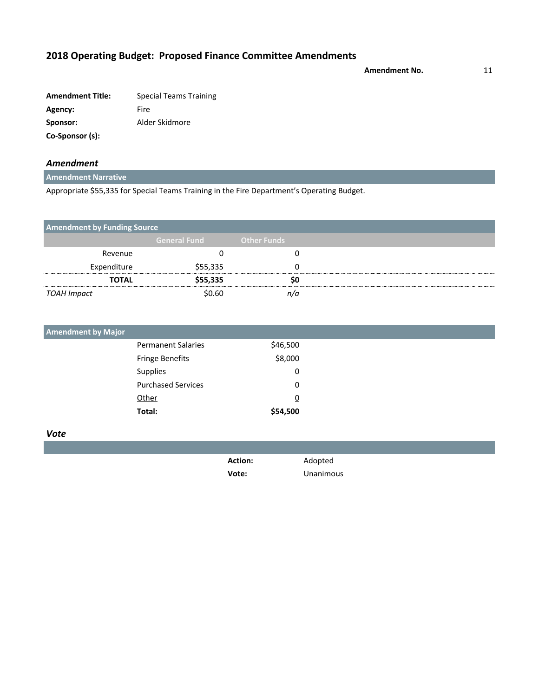**Amendment No.** 11

| <b>Amendment Title:</b> | <b>Special Teams Training</b> |
|-------------------------|-------------------------------|
| Agency:                 | Fire                          |
| Sponsor:                | Alder Skidmore                |
| Co-Sponsor (s):         |                               |

### *Amendment*

**Amendment Narrative**

Appropriate \$55,335 for Special Teams Training in the Fire Department's Operating Budget.

| <b>Amendment by Funding Source</b> |                     |                    |  |
|------------------------------------|---------------------|--------------------|--|
|                                    | <b>General Fund</b> | <b>Other Funds</b> |  |
| Revenue                            |                     |                    |  |
| Expenditure                        | \$55,335            |                    |  |
| TOTAL                              | \$55,335            |                    |  |
| TOAH Impact                        | \$0.60              |                    |  |

| <b>Amendment by Major</b> |          |
|---------------------------|----------|
| <b>Permanent Salaries</b> | \$46,500 |
| <b>Fringe Benefits</b>    | \$8,000  |
| Supplies                  | 0        |
| <b>Purchased Services</b> | 0        |
| <b>Other</b>              | <u>0</u> |
| Total:                    | \$54,500 |

| <b>Action:</b> | Adopted   |
|----------------|-----------|
| Vote:          | Unanimous |
|                |           |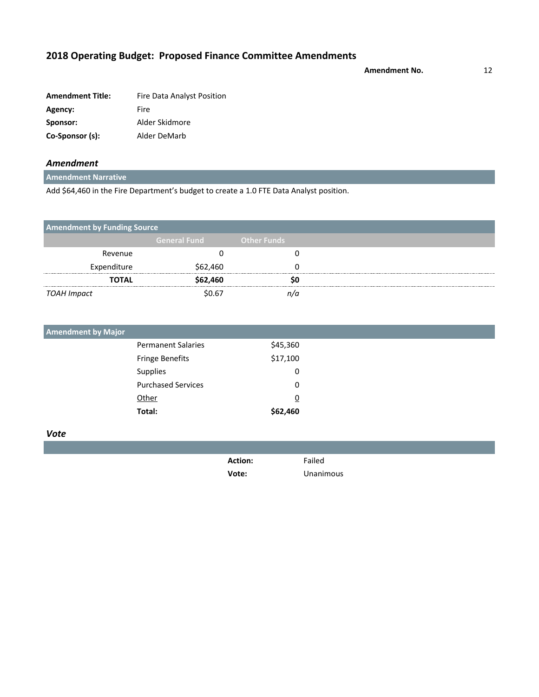**Amendment No.** 12

| <b>Amendment Title:</b> | Fire Data Analyst Position |
|-------------------------|----------------------------|
| Agency:                 | Fire                       |
| Sponsor:                | Alder Skidmore             |
| Co-Sponsor (s):         | Alder DeMarb               |

### *Amendment*

**Amendment Narrative**

Add \$64,460 in the Fire Department's budget to create a 1.0 FTE Data Analyst position.

| <b>Amendment by Funding Source</b> |                     |                    |  |
|------------------------------------|---------------------|--------------------|--|
|                                    | <b>General Fund</b> | <b>Other Funds</b> |  |
| Revenue                            |                     |                    |  |
| Expenditure                        | \$62,460            |                    |  |
| <b>TOTAL</b>                       | \$62,460            |                    |  |
| TOAH Impact                        | \$በ 67              |                    |  |

| <b>Amendment by Major</b> |          |
|---------------------------|----------|
| <b>Permanent Salaries</b> | \$45,360 |
| <b>Fringe Benefits</b>    | \$17,100 |
| <b>Supplies</b>           | 0        |
| <b>Purchased Services</b> | 0        |
| Other                     | <u>0</u> |
| Total:                    | \$62,460 |

| <b>Action:</b> | Failed    |
|----------------|-----------|
| Vote:          | Unanimous |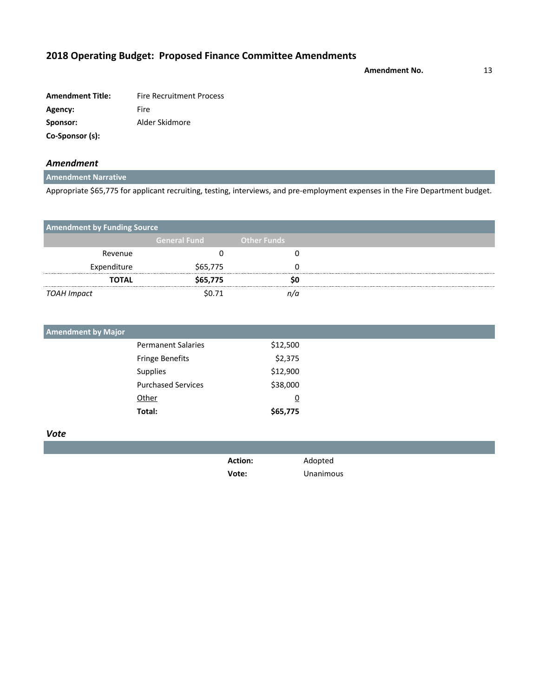**Amendment No.** 13

**Amendment Title:** Fire Recruitment Process Agency: Fire **Sponsor:** Alder Skidmore **Co-Sponsor (s):**

### *Amendment*

### **Amendment Narrative**

Appropriate \$65,775 for applicant recruiting, testing, interviews, and pre-employment expenses in the Fire Department budget.

| <b>Amendment by Funding Source</b> |                     |                    |  |
|------------------------------------|---------------------|--------------------|--|
|                                    | <b>General Fund</b> | <b>Other Funds</b> |  |
| Revenue                            |                     |                    |  |
| Expenditure                        | \$65,775            |                    |  |
| <b>TOTAL</b>                       | \$65,775            |                    |  |
| TOAH Impact                        | \$0.71              |                    |  |

| <b>Amendment by Major</b> |                           |          |  |
|---------------------------|---------------------------|----------|--|
|                           | <b>Permanent Salaries</b> | \$12,500 |  |
|                           | <b>Fringe Benefits</b>    | \$2,375  |  |
|                           | Supplies                  | \$12,900 |  |
|                           | <b>Purchased Services</b> | \$38,000 |  |
|                           | Other                     | <u>0</u> |  |
|                           | Total:                    | \$65,775 |  |

| <b>Action:</b> | Adopted   |
|----------------|-----------|
| Vote:          | Unanimous |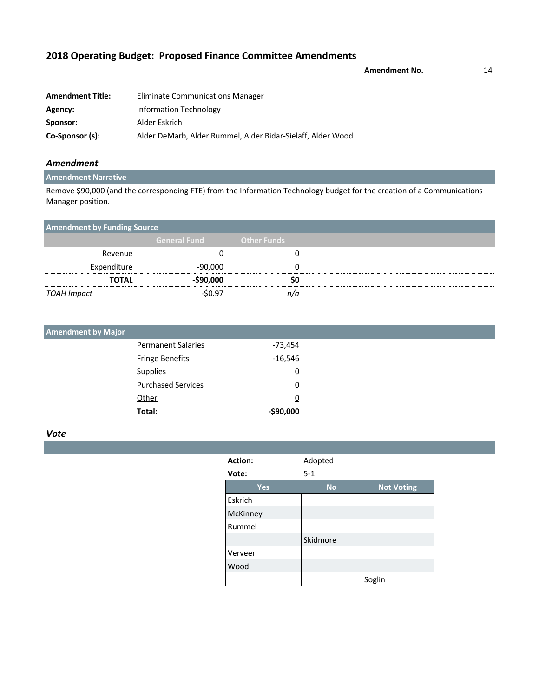**Amendment No.** 14

| <b>Amendment Title:</b> | Eliminate Communications Manager                            |
|-------------------------|-------------------------------------------------------------|
| Agency:                 | Information Technology                                      |
| Sponsor:                | Alder Eskrich                                               |
| Co-Sponsor (s):         | Alder DeMarb, Alder Rummel, Alder Bidar-Sielaff, Alder Wood |

### *Amendment*

### **Amendment Narrative**

Remove \$90,000 (and the corresponding FTE) from the Information Technology budget for the creation of a Communications Manager position.

| <b>Amendment by Funding Source</b> |                     |                    |  |
|------------------------------------|---------------------|--------------------|--|
|                                    | <b>General Fund</b> | <b>Other Funds</b> |  |
| Revenue                            |                     |                    |  |
| Expenditure                        | -90,000             |                    |  |
| TOTAL                              | $-$ \$90,000        |                    |  |
| TOAH Impact                        | $-50.97$            |                    |  |

| <b>Amendment by Major</b> |                           |            |
|---------------------------|---------------------------|------------|
|                           | <b>Permanent Salaries</b> | -73,454    |
|                           | <b>Fringe Benefits</b>    | $-16,546$  |
|                           | Supplies                  | 0          |
|                           | <b>Purchased Services</b> | 0          |
|                           | Other                     | <u>0</u>   |
|                           | Total:                    | $-$90,000$ |

| Action:  | Adopted   |                   |
|----------|-----------|-------------------|
| Vote:    | $5 - 1$   |                   |
| Yes      | <b>No</b> | <b>Not Voting</b> |
| Eskrich  |           |                   |
| McKinney |           |                   |
| Rummel   |           |                   |
|          | Skidmore  |                   |
| Verveer  |           |                   |
| Wood     |           |                   |
|          |           | Soglin            |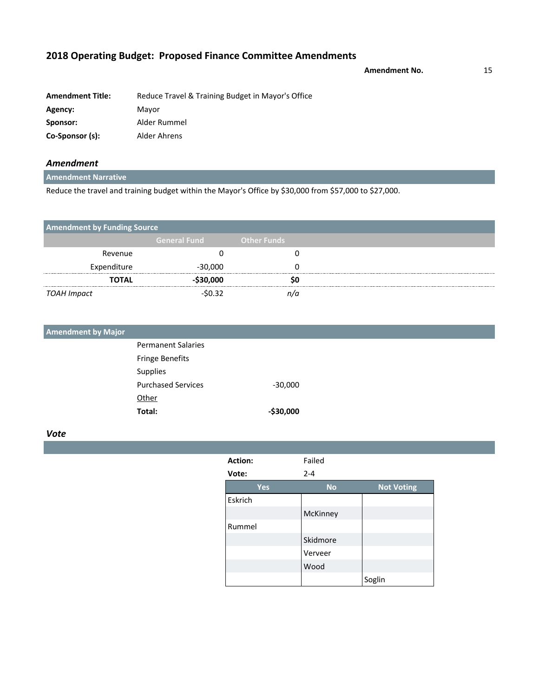**Amendment No.** 15

| <b>Amendment Title:</b> | Reduce Travel & Training Budget in Mayor's Office |
|-------------------------|---------------------------------------------------|
| Agency:                 | Mavor                                             |
| Sponsor:                | Alder Rummel                                      |
| Co-Sponsor (s):         | Alder Ahrens                                      |

### *Amendment*

**Amendment Narrative**

Reduce the travel and training budget within the Mayor's Office by \$30,000 from \$57,000 to \$27,000.

| <b>Amendment by Funding Source</b> |                     |                    |
|------------------------------------|---------------------|--------------------|
|                                    | <b>General Fund</b> | <b>Other Funds</b> |
| Revenue                            |                     |                    |
| Expenditure                        | $-30,000$           |                    |
| <b>TOTAL</b>                       | $-530,000$          | so                 |
| TOAH Impact                        | $-50.32$            | n/a                |

| <b>Amendment by Major</b> |                           |              |  |
|---------------------------|---------------------------|--------------|--|
|                           | <b>Permanent Salaries</b> |              |  |
|                           | <b>Fringe Benefits</b>    |              |  |
|                           | Supplies                  |              |  |
|                           | <b>Purchased Services</b> | $-30,000$    |  |
|                           | Other                     |              |  |
|                           | Total:                    | $-$ \$30,000 |  |

| Action: | Failed    |                   |
|---------|-----------|-------------------|
| Vote:   | $2 - 4$   |                   |
| Yes     | <b>No</b> | <b>Not Voting</b> |
| Eskrich |           |                   |
|         | McKinney  |                   |
| Rummel  |           |                   |
|         | Skidmore  |                   |
|         | Verveer   |                   |
|         | Wood      |                   |
|         |           | Soglin            |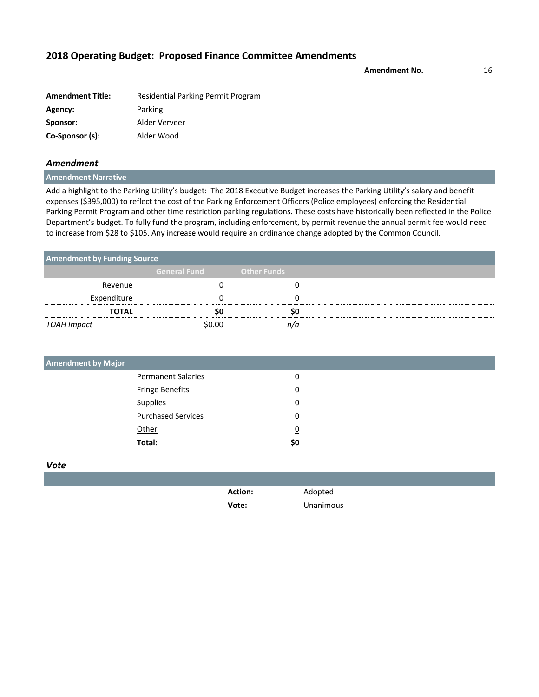**Amendment No.** 16

| <b>Amendment Title:</b> | Residential Parking Permit Program |
|-------------------------|------------------------------------|
| Agency:                 | Parking                            |
| Sponsor:                | Alder Verveer                      |
| Co-Sponsor (s):         | Alder Wood                         |

#### *Amendment*

**Amendment Narrative**

Add a highlight to the Parking Utility's budget: The 2018 Executive Budget increases the Parking Utility's salary and benefit expenses (\$395,000) to reflect the cost of the Parking Enforcement Officers (Police employees) enforcing the Residential Parking Permit Program and other time restriction parking regulations. These costs have historically been reflected in the Police Department's budget. To fully fund the program, including enforcement, by permit revenue the annual permit fee would need to increase from \$28 to \$105. Any increase would require an ordinance change adopted by the Common Council.

| <b>Amendment by Funding Source</b> |                     |                    |  |
|------------------------------------|---------------------|--------------------|--|
|                                    | <b>General Fund</b> | <b>Other Funds</b> |  |
| Revenue                            |                     |                    |  |
| Expenditure                        |                     |                    |  |
| TOTAL                              |                     |                    |  |
| TOAH Impact                        | \$በ በበ              |                    |  |

| <b>Amendment by Major</b> |     |  |
|---------------------------|-----|--|
| <b>Permanent Salaries</b> | 0   |  |
| Fringe Benefits           | 0   |  |
| Supplies                  | 0   |  |
| <b>Purchased Services</b> | 0   |  |
| Other                     | ₫   |  |
| Total:                    | \$0 |  |
|                           |     |  |

| <b>Action:</b> | Adopted   |
|----------------|-----------|
| Vote:          | Unanimous |
|                |           |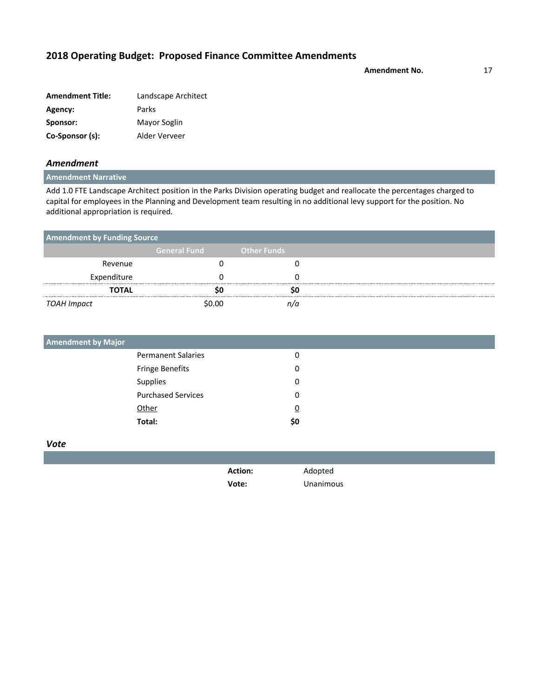**Amendment No.** 17

| <b>Amendment Title:</b> | Landscape Architect |
|-------------------------|---------------------|
| Agency:                 | Parks               |
| Sponsor:                | Mayor Soglin        |
| Co-Sponsor (s):         | Alder Verveer       |

### *Amendment*

### **Amendment Narrative**

Add 1.0 FTE Landscape Architect position in the Parks Division operating budget and reallocate the percentages charged to capital for employees in the Planning and Development team resulting in no additional levy support for the position. No additional appropriation is required.

|              | <b>Amendment by Funding Source</b> |                    |  |  |  |
|--------------|------------------------------------|--------------------|--|--|--|
|              | <b>General Fund</b>                | <b>Other Funds</b> |  |  |  |
| Revenue      |                                    |                    |  |  |  |
| Expenditure  |                                    |                    |  |  |  |
| <b>TOTAL</b> |                                    |                    |  |  |  |
| TOAH Impact  | \$0.00                             |                    |  |  |  |

| <b>Amendment by Major</b> |          |  |
|---------------------------|----------|--|
| <b>Permanent Salaries</b> | 0        |  |
| Fringe Benefits           | 0        |  |
| Supplies                  | 0        |  |
| <b>Purchased Services</b> | 0        |  |
| Other                     | <u>0</u> |  |
| Total:                    | \$0      |  |

*Vote*

**Action:** Adopted

**Vote:** Unanimous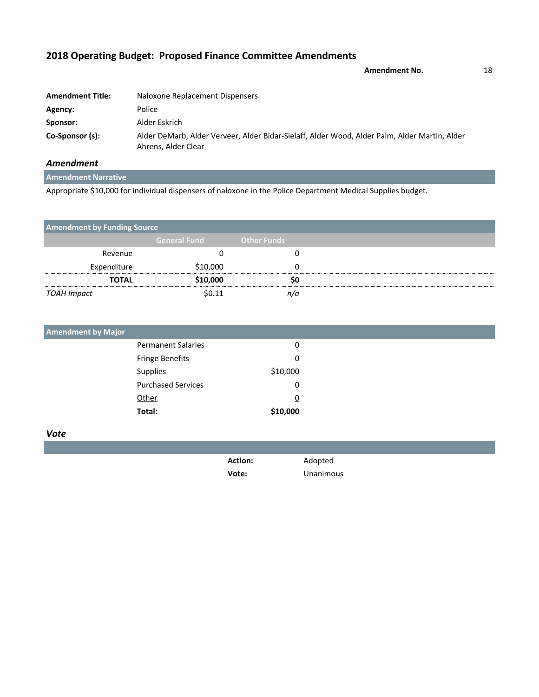**Amendment No.** 18

| <b>Amendment Title:</b> | Naloxone Replacement Dispensers                                                                                      |
|-------------------------|----------------------------------------------------------------------------------------------------------------------|
| Agency:                 | Police                                                                                                               |
| Sponsor:                | Alder Eskrich                                                                                                        |
| Co-Sponsor (s):         | Alder DeMarb, Alder Verveer, Alder Bidar-Sielaff, Alder Wood, Alder Palm, Alder Martin, Alder<br>Ahrens, Alder Clear |

### *Amendment*

**Amendment Narrative**

Appropriate \$10,000 for individual dispensers of naloxone in the Police Department Medical Supplies budget.

| <b>Amendment by Funding Source</b> |                     |                    |  |
|------------------------------------|---------------------|--------------------|--|
|                                    | <b>General Fund</b> | <b>Other Funds</b> |  |
| Revenue                            |                     |                    |  |
| Expenditure                        | \$10,000            |                    |  |
| <b>TOTAL</b>                       | \$10,000            |                    |  |
| TOAH Impact                        | \$0.11              |                    |  |

| <b>Amendment by Major</b> |          |
|---------------------------|----------|
| <b>Permanent Salaries</b> | 0        |
| <b>Fringe Benefits</b>    | 0        |
| Supplies                  | \$10,000 |
| <b>Purchased Services</b> | 0        |
| Other                     | <u>0</u> |
| Total:                    | \$10,000 |

| <b>Action:</b> | Adopted   |
|----------------|-----------|
| Vote:          | Unanimous |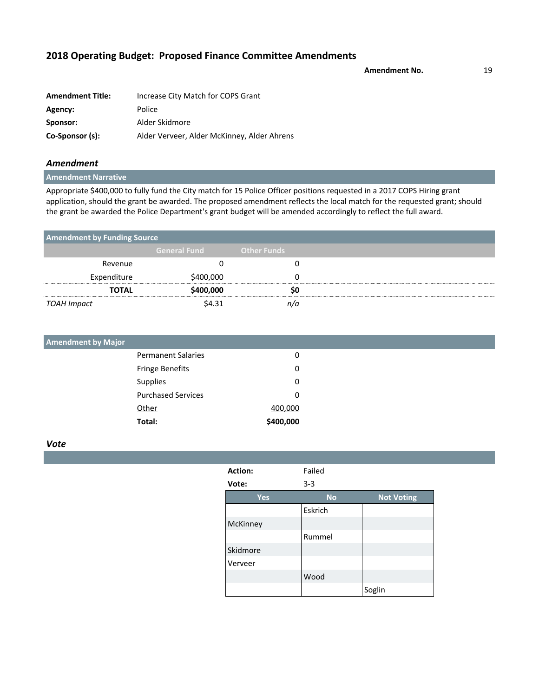**Amendment No.** 19

| <b>Amendment Title:</b> | Increase City Match for COPS Grant          |
|-------------------------|---------------------------------------------|
| Agency:                 | Police                                      |
| Sponsor:                | Alder Skidmore                              |
| Co-Sponsor (s):         | Alder Verveer, Alder McKinney, Alder Ahrens |

### *Amendment*

**Amendment Narrative**

Appropriate \$400,000 to fully fund the City match for 15 Police Officer positions requested in a 2017 COPS Hiring grant application, should the grant be awarded. The proposed amendment reflects the local match for the requested grant; should the grant be awarded the Police Department's grant budget will be amended accordingly to reflect the full award.

| <b>Amendment by Funding Source</b> |                     |                    |  |
|------------------------------------|---------------------|--------------------|--|
|                                    | <b>General Fund</b> | <b>Other Funds</b> |  |
| Revenue                            |                     |                    |  |
| Expenditure                        | \$400,000           |                    |  |
| <b>TOTAL</b>                       | \$400,000           |                    |  |
| TOAH Impact                        | \$4.31              |                    |  |

| <b>Amendment by Major</b> |           |
|---------------------------|-----------|
| <b>Permanent Salaries</b> | 0         |
| <b>Fringe Benefits</b>    | 0         |
| Supplies                  | 0         |
| <b>Purchased Services</b> | 0         |
| Other                     | 400,000   |
| Total:                    | \$400,000 |

| Action:    | Failed    |                   |
|------------|-----------|-------------------|
| Vote:      | $3 - 3$   |                   |
| <b>Yes</b> | <b>No</b> | <b>Not Voting</b> |
|            | Eskrich   |                   |
| McKinney   |           |                   |
|            | Rummel    |                   |
| Skidmore   |           |                   |
| Verveer    |           |                   |
|            | Wood      |                   |
|            |           | Soglin            |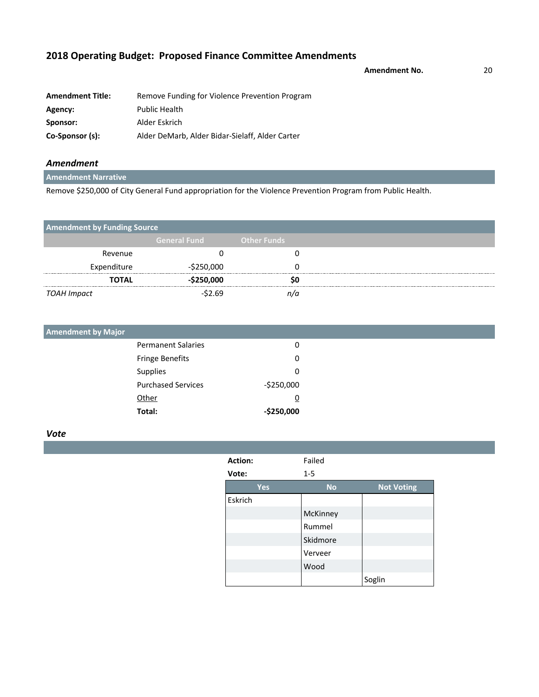|  |  | 2018 Operating Budget: Proposed Finance Committee Amendments |
|--|--|--------------------------------------------------------------|
|--|--|--------------------------------------------------------------|

**Amendment No.** 20

| <b>Amendment Title:</b> | Remove Funding for Violence Prevention Program  |
|-------------------------|-------------------------------------------------|
| Agency:                 | <b>Public Health</b>                            |
| Sponsor:                | Alder Eskrich                                   |
| Co-Sponsor (s):         | Alder DeMarb, Alder Bidar-Sielaff, Alder Carter |

### *Amendment*

**Amendment Narrative**

Remove \$250,000 of City General Fund appropriation for the Violence Prevention Program from Public Health.

| <b>Amendment by Funding Source</b> |                     |                    |  |
|------------------------------------|---------------------|--------------------|--|
|                                    | <b>General Fund</b> | <b>Other Funds</b> |  |
| Revenue                            |                     |                    |  |
| Expenditure                        | $-$250,000$         |                    |  |
| <b>TOTAL</b>                       | $-$ \$250,000       |                    |  |
| TOAH Impact                        | -\$2.69             |                    |  |

| <b>Amendment by Major</b> |                           |             |
|---------------------------|---------------------------|-------------|
|                           | <b>Permanent Salaries</b> | 0           |
|                           | <b>Fringe Benefits</b>    | 0           |
|                           | Supplies                  | 0           |
|                           | <b>Purchased Services</b> | $-5250,000$ |
|                           | Other                     | <u>0</u>    |
|                           | Total:                    | $-$250,000$ |

| Action: | Failed    |                   |
|---------|-----------|-------------------|
| Vote:   | $1 - 5$   |                   |
| Yes     | <b>No</b> | <b>Not Voting</b> |
| Eskrich |           |                   |
|         | McKinney  |                   |
|         | Rummel    |                   |
|         | Skidmore  |                   |
|         | Verveer   |                   |
|         | Wood      |                   |
|         |           | Soglin            |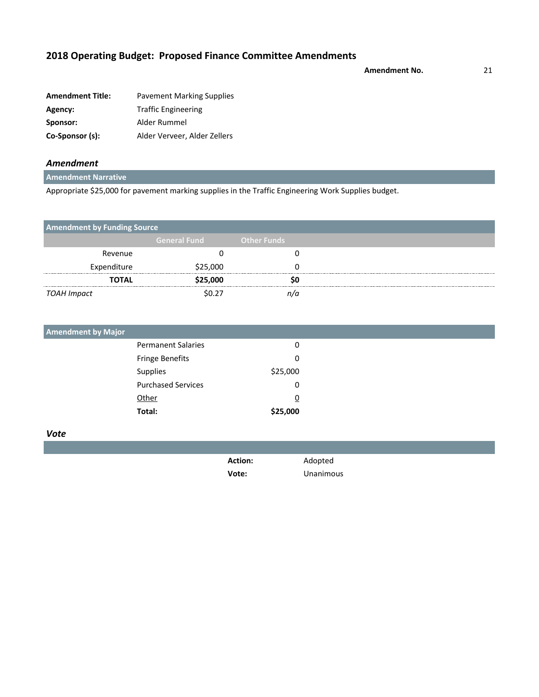**Amendment No.** 21

| <b>Amendment Title:</b> | <b>Pavement Marking Supplies</b> |
|-------------------------|----------------------------------|
| Agency:                 | <b>Traffic Engineering</b>       |
| Sponsor:                | Alder Rummel                     |
| Co-Sponsor (s):         | Alder Verveer, Alder Zellers     |

### *Amendment*

**Amendment Narrative**

Appropriate \$25,000 for pavement marking supplies in the Traffic Engineering Work Supplies budget.

| <b>Amendment by Funding Source</b> |                     |                    |  |
|------------------------------------|---------------------|--------------------|--|
|                                    | <b>General Fund</b> | <b>Other Funds</b> |  |
| Revenue                            |                     |                    |  |
| Expenditure                        | \$25,000            |                    |  |
| <b>TOTAL</b>                       | \$25,000            |                    |  |
| TOAH Impact                        | ሩስ ን7               |                    |  |

| <b>Amendment by Major</b> |          |
|---------------------------|----------|
| <b>Permanent Salaries</b> | 0        |
| <b>Fringe Benefits</b>    | 0        |
| Supplies                  | \$25,000 |
| <b>Purchased Services</b> | 0        |
| Other                     | <u>0</u> |
| Total:                    | \$25,000 |

| <b>Action:</b> | Adopted   |
|----------------|-----------|
| Vote:          | Unanimous |
|                |           |